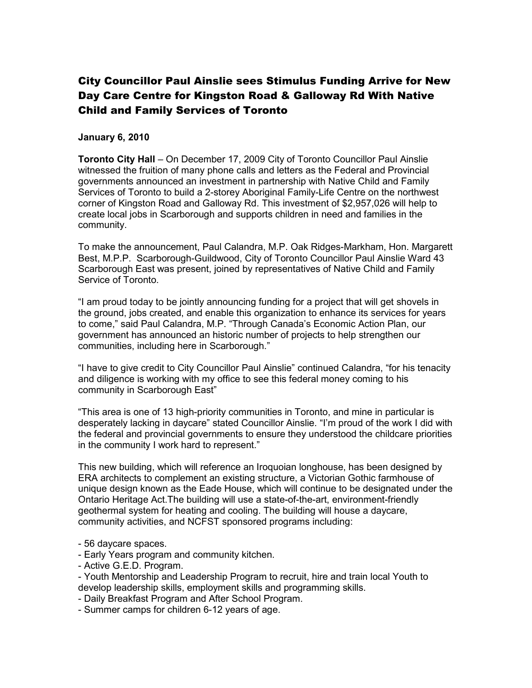## City Councillor Paul Ainslie sees Stimulus Funding Arrive for New Day Care Centre for Kingston Road & Galloway Rd With Native Child and Family Services of Toronto

## January 6, 2010

Toronto City Hall – On December 17, 2009 City of Toronto Councillor Paul Ainslie witnessed the fruition of many phone calls and letters as the Federal and Provincial governments announced an investment in partnership with Native Child and Family Services of Toronto to build a 2-storey Aboriginal Family-Life Centre on the northwest corner of Kingston Road and Galloway Rd. This investment of \$2,957,026 will help to create local jobs in Scarborough and supports children in need and families in the community.

To make the announcement, Paul Calandra, M.P. Oak Ridges-Markham, Hon. Margarett Best, M.P.P. Scarborough-Guildwood, City of Toronto Councillor Paul Ainslie Ward 43 Scarborough East was present, joined by representatives of Native Child and Family Service of Toronto.

"I am proud today to be jointly announcing funding for a project that will get shovels in the ground, jobs created, and enable this organization to enhance its services for years to come," said Paul Calandra, M.P. "Through Canada's Economic Action Plan, our government has announced an historic number of projects to help strengthen our communities, including here in Scarborough."

"I have to give credit to City Councillor Paul Ainslie" continued Calandra, "for his tenacity and diligence is working with my office to see this federal money coming to his community in Scarborough East"

"This area is one of 13 high-priority communities in Toronto, and mine in particular is desperately lacking in daycare" stated Councillor Ainslie. "I'm proud of the work I did with the federal and provincial governments to ensure they understood the childcare priorities in the community I work hard to represent."

This new building, which will reference an Iroquoian longhouse, has been designed by ERA architects to complement an existing structure, a Victorian Gothic farmhouse of unique design known as the Eade House, which will continue to be designated under the Ontario Heritage Act.The building will use a state-of-the-art, environment-friendly geothermal system for heating and cooling. The building will house a daycare, community activities, and NCFST sponsored programs including:

- 56 daycare spaces.
- Early Years program and community kitchen.
- Active G.E.D. Program.
- Youth Mentorship and Leadership Program to recruit, hire and train local Youth to develop leadership skills, employment skills and programming skills.
- Daily Breakfast Program and After School Program.
- Summer camps for children 6-12 years of age.